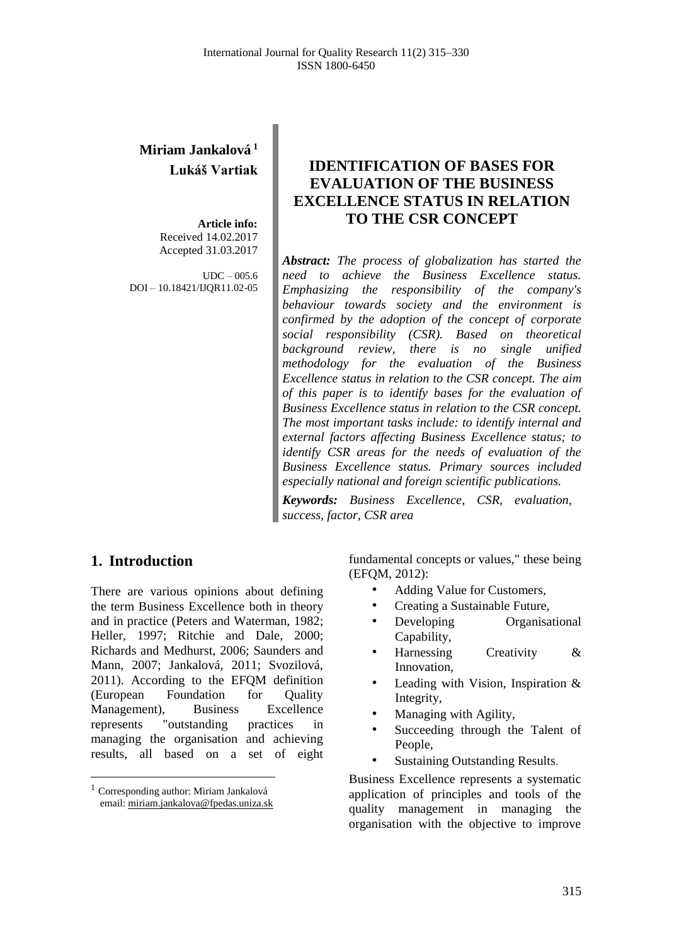# **Miriam Jankalová <sup>1</sup> Lukáš Vartiak**

**Article info:** Received 14.02.2017 Accepted 31.03.2017

 $IDC = 005.6$ DOI – 10.18421/IJQR11.02-05

# **IDENTIFICATION OF BASES FOR EVALUATION OF THE BUSINESS EXCELLENCE STATUS IN RELATION TO THE CSR CONCEPT**

*Abstract: The process of globalization has started the need to achieve the Business Excellence status. Emphasizing the responsibility of the company's behaviour towards society and the environment is confirmed by the adoption of the concept of corporate social responsibility (CSR). Based on theoretical background review, there is no single unified methodology for the evaluation of the Business Excellence status in relation to the CSR concept. The aim of this paper is to identify bases for the evaluation of Business Excellence status in relation to the CSR concept. The most important tasks include: to identify internal and external factors affecting Business Excellence status; to identify CSR areas for the needs of evaluation of the Business Excellence status. Primary sources included especially national and foreign scientific publications.*

*Keywords: Business Excellence, CSR, evaluation, success, factor, CSR area*

## **1. Introduction<sup>1</sup>**

 $\overline{a}$ 

There are various opinions about defining the term Business Excellence both in theory and in practice (Peters and Waterman, 1982; Heller, 1997; Ritchie and Dale, 2000; Richards and Medhurst, 2006; Saunders and Mann, 2007; Jankalová, 2011; Svozilová, 2011). According to the EFQM definition (European Foundation for Quality Management), Business Excellence represents "outstanding practices in managing the organisation and achieving results, all based on a set of eight fundamental concepts or values," these being (EFQM, 2012):

- Adding Value for Customers,
- Creating a Sustainable Future,
- Developing Organisational Capability,
- Harnessing Creativity & Innovation,
- Leading with Vision, Inspiration & Integrity,
- Managing with Agility,
- Succeeding through the Talent of People,
- Sustaining Outstanding Results.

Business Excellence represents a systematic application of principles and tools of the quality management in managing the organisation with the objective to improve

<sup>1</sup> Corresponding author: Miriam Jankalová email[: miriam.jankalova@fpedas.uniza.sk](mailto:miriam.jankalova@fpedas.uniza.sk)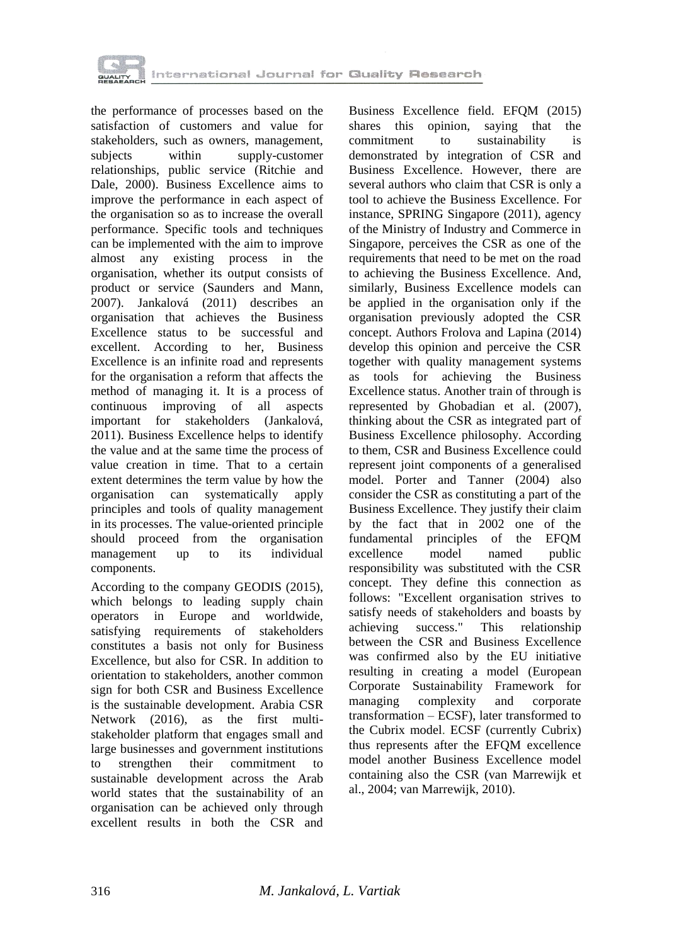

the performance of processes based on the satisfaction of customers and value for stakeholders, such as owners, management, subjects within supply-customer relationships, public service (Ritchie and Dale, 2000). Business Excellence aims to improve the performance in each aspect of the organisation so as to increase the overall performance. Specific tools and techniques can be implemented with the aim to improve almost any existing process in the organisation, whether its output consists of product or service (Saunders and Mann, 2007). Jankalová (2011) describes an organisation that achieves the Business Excellence status to be successful and excellent. According to her, Business Excellence is an infinite road and represents for the organisation a reform that affects the method of managing it. It is a process of continuous improving of all aspects important for stakeholders (Jankalová, 2011). Business Excellence helps to identify the value and at the same time the process of value creation in time. That to a certain extent determines the term value by how the organisation can systematically apply principles and tools of quality management in its processes. The value-oriented principle should proceed from the organisation management up to its individual components.

According to the company GEODIS (2015), which belongs to leading supply chain operators in Europe and worldwide, satisfying requirements of stakeholders constitutes a basis not only for Business Excellence, but also for CSR. In addition to orientation to stakeholders, another common sign for both CSR and Business Excellence is the sustainable development. Arabia CSR Network (2016), as the first multistakeholder platform that engages small and large businesses and government institutions to strengthen their commitment to sustainable development across the Arab world states that the sustainability of an organisation can be achieved only through excellent results in both the CSR and

Business Excellence field. EFQM (2015) shares this opinion, saying that the commitment to sustainability is demonstrated by integration of CSR and Business Excellence. However, there are several authors who claim that CSR is only a tool to achieve the Business Excellence. For instance, SPRING Singapore (2011), agency of the Ministry of Industry and Commerce in Singapore, perceives the CSR as one of the requirements that need to be met on the road to achieving the Business Excellence. And, similarly, Business Excellence models can be applied in the organisation only if the organisation previously adopted the CSR concept. Authors Frolova and Lapina (2014) develop this opinion and perceive the CSR together with quality management systems as tools for achieving the Business Excellence status. Another train of through is represented by Ghobadian et al. (2007), thinking about the CSR as integrated part of Business Excellence philosophy. According to them, CSR and Business Excellence could represent joint components of a generalised model. Porter and Tanner (2004) also consider the CSR as constituting a part of the Business Excellence. They justify their claim by the fact that in 2002 one of the fundamental principles of the EFQM excellence model named public responsibility was substituted with the CSR concept. They define this connection as follows: "Excellent organisation strives to satisfy needs of stakeholders and boasts by achieving success." This relationship between the CSR and Business Excellence was confirmed also by the EU initiative resulting in creating a model (European Corporate Sustainability Framework for managing complexity and corporate transformation – ECSF), later transformed to the Cubrix model. ECSF (currently Cubrix) thus represents after the EFQM excellence model another Business Excellence model containing also the CSR (van Marrewijk et al., 2004; van Marrewijk, 2010).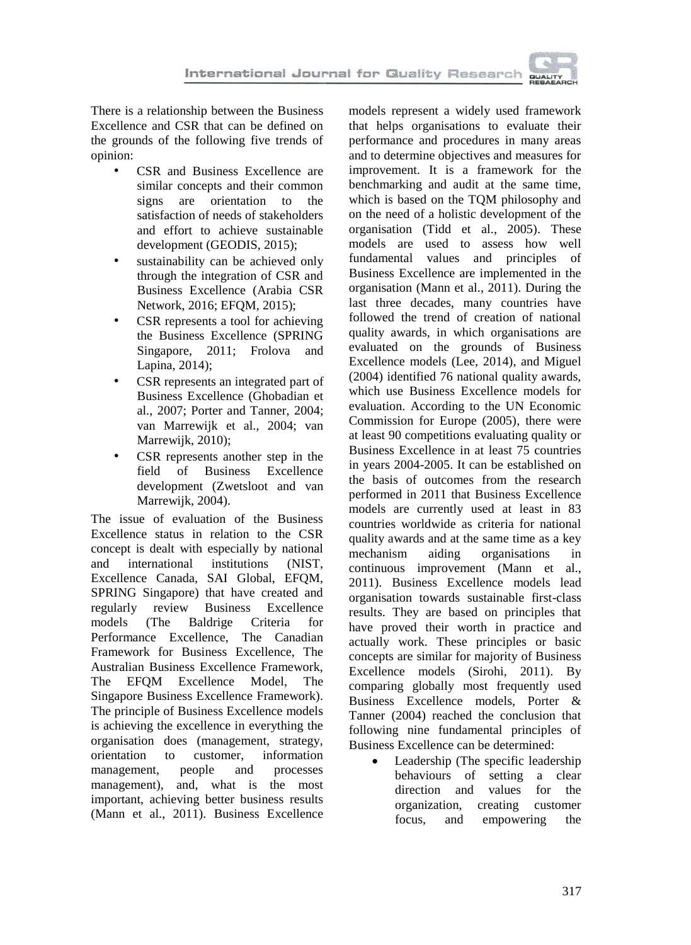

There is a relationship between the Business Excellence and CSR that can be defined on the grounds of the following five trends of opinion:

- CSR and Business Excellence are similar concepts and their common signs are orientation to the satisfaction of needs of stakeholders and effort to achieve sustainable development (GEODIS, 2015);
- sustainability can be achieved only through the integration of CSR and Business Excellence (Arabia CSR Network, 2016; EFQM, 2015);
- CSR represents a tool for achieving the Business Excellence (SPRING Singapore, 2011; Frolova and Lapina, 2014);
- CSR represents an integrated part of Business Excellence (Ghobadian et al., 2007; Porter and Tanner, 2004; van Marrewijk et al., 2004; van Marrewijk, 2010);
- CSR represents another step in the field of Business Excellence development (Zwetsloot and van Marrewijk, 2004).

The issue of evaluation of the Business Excellence status in relation to the CSR concept is dealt with especially by national and international institutions (NIST, Excellence Canada, SAI Global, EFQM, SPRING Singapore) that have created and regularly review Business Excellence models (The Baldrige Criteria for Performance Excellence, The Canadian Framework for Business Excellence, The Australian Business Excellence Framework, The EFQM Excellence Model, The Singapore Business Excellence Framework). The principle of Business Excellence models is achieving the excellence in everything the organisation does (management, strategy, orientation to customer, information management, people and processes management), and, what is the most important, achieving better business results (Mann et al., 2011). Business Excellence

models represent a widely used framework that helps organisations to evaluate their performance and procedures in many areas and to determine objectives and measures for improvement. It is a framework for the benchmarking and audit at the same time, which is based on the TQM philosophy and on the need of a holistic development of the organisation (Tidd et al., 2005). These models are used to assess how well fundamental values and principles of Business Excellence are implemented in the organisation (Mann et al., 2011). During the last three decades, many countries have followed the trend of creation of national quality awards, in which organisations are evaluated on the grounds of Business Excellence models (Lee, 2014), and Miguel (2004) identified 76 national quality awards, which use Business Excellence models for evaluation. According to the UN Economic Commission for Europe (2005), there were at least 90 competitions evaluating quality or Business Excellence in at least 75 countries in years 2004-2005. It can be established on the basis of outcomes from the research performed in 2011 that Business Excellence models are currently used at least in 83 countries worldwide as criteria for national quality awards and at the same time as a key mechanism aiding organisations in continuous improvement (Mann et al., 2011). Business Excellence models lead organisation towards sustainable first-class results. They are based on principles that have proved their worth in practice and actually work. These principles or basic concepts are similar for majority of Business Excellence models (Sirohi, 2011). By comparing globally most frequently used Business Excellence models, Porter & Tanner (2004) reached the conclusion that following nine fundamental principles of Business Excellence can be determined:

 Leadership (The specific leadership behaviours of setting a clear direction and values for the organization, creating customer focus, and empowering the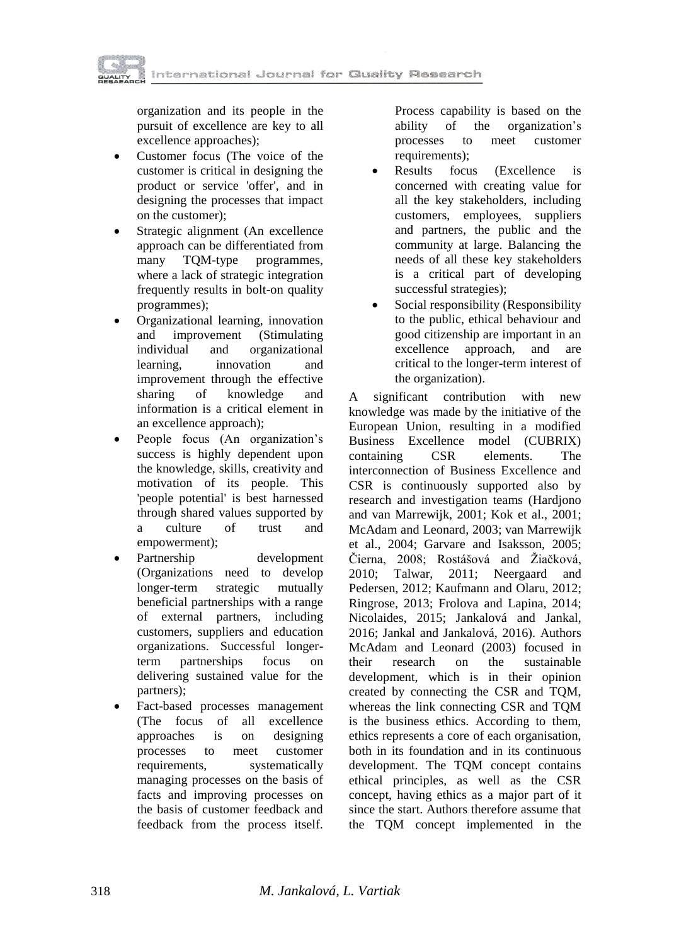International Journal for Quality Research

organization and its people in the pursuit of excellence are key to all excellence approaches);

- Customer focus (The voice of the customer is critical in designing the product or service 'offer', and in designing the processes that impact on the customer);
- Strategic alignment (An excellence approach can be differentiated from many TQM-type programmes, where a lack of strategic integration frequently results in bolt-on quality programmes);
- Organizational learning, innovation and improvement (Stimulating individual and organizational learning, innovation and improvement through the effective sharing of knowledge and information is a critical element in an excellence approach);
- People focus (An organization's success is highly dependent upon the knowledge, skills, creativity and motivation of its people. This 'people potential' is best harnessed through shared values supported by a culture of trust and empowerment);
- Partnership development (Organizations need to develop longer-term strategic mutually beneficial partnerships with a range of external partners, including customers, suppliers and education organizations. Successful longerterm partnerships focus on delivering sustained value for the partners);
- Fact-based processes management (The focus of all excellence approaches is on designing processes to meet customer requirements, systematically managing processes on the basis of facts and improving processes on the basis of customer feedback and feedback from the process itself.

Process capability is based on the ability of the organization's processes to meet customer requirements);

- Results focus (Excellence is concerned with creating value for all the key stakeholders, including customers, employees, suppliers and partners, the public and the community at large. Balancing the needs of all these key stakeholders is a critical part of developing successful strategies);
- Social responsibility (Responsibility to the public, ethical behaviour and good citizenship are important in an excellence approach, and are critical to the longer-term interest of the organization).

A significant contribution with new knowledge was made by the initiative of the European Union, resulting in a modified Business Excellence model (CUBRIX) containing CSR elements. The interconnection of Business Excellence and CSR is continuously supported also by research and investigation teams (Hardjono and van Marrewijk, 2001; Kok et al., 2001; McAdam and Leonard, 2003; van Marrewijk et al., 2004; Garvare and Isaksson, 2005; Čierna, 2008; Rostášová and Žiačková, 2010; Talwar, 2011; Neergaard and Pedersen, 2012; Kaufmann and Olaru, 2012; Ringrose, 2013; Frolova and Lapina, 2014; Nicolaides, 2015; Jankalová and Jankal, 2016; Jankal and Jankalová, 2016). Authors McAdam and Leonard (2003) focused in their research on the sustainable development, which is in their opinion created by connecting the CSR and TQM, whereas the link connecting CSR and TQM is the business ethics. According to them, ethics represents a core of each organisation, both in its foundation and in its continuous development. The TQM concept contains ethical principles, as well as the CSR concept, having ethics as a major part of it since the start. Authors therefore assume that the TQM concept implemented in the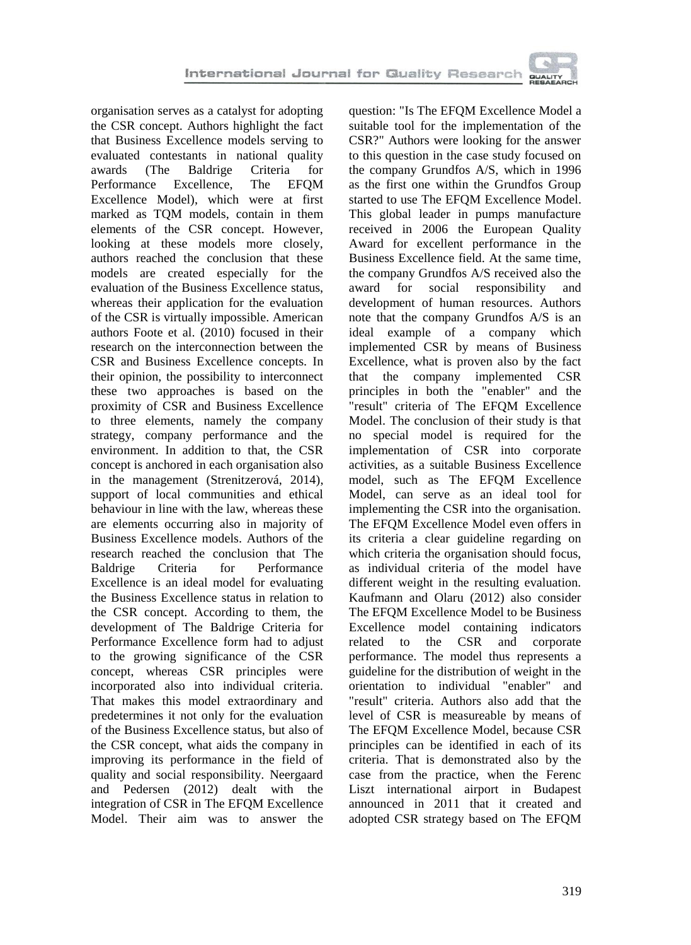

organisation serves as a catalyst for adopting the CSR concept. Authors highlight the fact that Business Excellence models serving to evaluated contestants in national quality awards (The Baldrige Criteria for Performance Excellence, The EFQM Excellence Model), which were at first marked as TQM models, contain in them elements of the CSR concept. However, looking at these models more closely, authors reached the conclusion that these models are created especially for the evaluation of the Business Excellence status, whereas their application for the evaluation of the CSR is virtually impossible. American authors Foote et al. (2010) focused in their research on the interconnection between the CSR and Business Excellence concepts. In their opinion, the possibility to interconnect these two approaches is based on the proximity of CSR and Business Excellence to three elements, namely the company strategy, company performance and the environment. In addition to that, the CSR concept is anchored in each organisation also in the management (Strenitzerová, 2014), support of local communities and ethical behaviour in line with the law, whereas these are elements occurring also in majority of Business Excellence models. Authors of the research reached the conclusion that The Baldrige Criteria for Performance Excellence is an ideal model for evaluating the Business Excellence status in relation to the CSR concept. According to them, the development of The Baldrige Criteria for Performance Excellence form had to adjust to the growing significance of the CSR concept, whereas CSR principles were incorporated also into individual criteria. That makes this model extraordinary and predetermines it not only for the evaluation of the Business Excellence status, but also of the CSR concept, what aids the company in improving its performance in the field of quality and social responsibility. Neergaard and Pedersen (2012) dealt with the integration of CSR in The EFQM Excellence Model. Their aim was to answer the

question: "Is The EFQM Excellence Model a suitable tool for the implementation of the CSR?" Authors were looking for the answer to this question in the case study focused on the company Grundfos A/S, which in 1996 as the first one within the Grundfos Group started to use The EFQM Excellence Model. This global leader in pumps manufacture received in 2006 the European Quality Award for excellent performance in the Business Excellence field. At the same time, the company Grundfos A/S received also the award for social responsibility and development of human resources. Authors note that the company Grundfos A/S is an ideal example of a company which implemented CSR by means of Business Excellence, what is proven also by the fact that the company implemented CSR principles in both the "enabler" and the "result" criteria of The EFQM Excellence Model. The conclusion of their study is that no special model is required for the implementation of CSR into corporate activities, as a suitable Business Excellence model, such as The EFQM Excellence Model, can serve as an ideal tool for implementing the CSR into the organisation. The EFQM Excellence Model even offers in its criteria a clear guideline regarding on which criteria the organisation should focus, as individual criteria of the model have different weight in the resulting evaluation. Kaufmann and Olaru (2012) also consider The EFQM Excellence Model to be Business Excellence model containing indicators related to the CSR and corporate performance. The model thus represents a guideline for the distribution of weight in the orientation to individual "enabler" and "result" criteria. Authors also add that the level of CSR is measureable by means of The EFQM Excellence Model, because CSR principles can be identified in each of its criteria. That is demonstrated also by the case from the practice, when the Ferenc Liszt international airport in Budapest announced in 2011 that it created and adopted CSR strategy based on The EFQM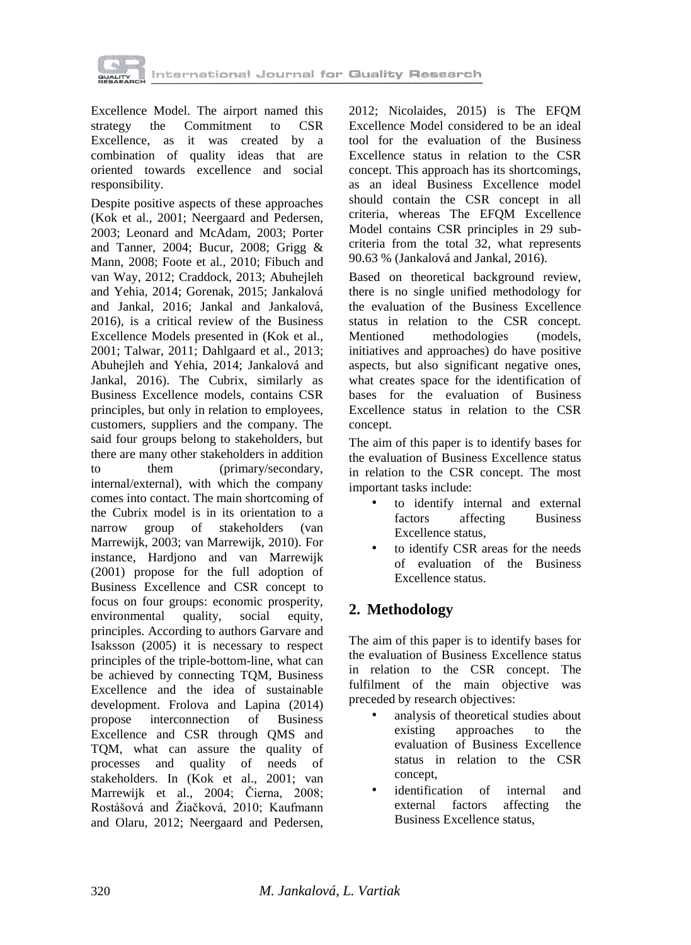

Excellence Model. The airport named this strategy the Commitment to CSR Excellence, as it was created by a combination of quality ideas that are oriented towards excellence and social responsibility.

Despite positive aspects of these approaches (Kok et al., 2001; Neergaard and Pedersen, 2003; Leonard and McAdam, 2003; Porter and Tanner, 2004; Bucur, 2008; Grigg & Mann, 2008; Foote et al., 2010; Fibuch and van Way, 2012; Craddock, 2013; Abuhejleh and Yehia, 2014; Gorenak, 2015; Jankalová and Jankal, 2016; Jankal and Jankalová, 2016), is a critical review of the Business Excellence Models presented in (Kok et al., 2001; Talwar, 2011; Dahlgaard et al., 2013; Abuhejleh and Yehia, 2014; Jankalová and Jankal, 2016). The Cubrix, similarly as Business Excellence models, contains CSR principles, but only in relation to employees, customers, suppliers and the company. The said four groups belong to stakeholders, but there are many other stakeholders in addition to them (primary/secondary, internal/external), with which the company comes into contact. The main shortcoming of the Cubrix model is in its orientation to a narrow group of stakeholders (van narrow group of stakeholders Marrewijk, 2003; van Marrewijk, 2010). For instance, Hardjono and van Marrewijk (2001) propose for the full adoption of Business Excellence and CSR concept to focus on four groups: economic prosperity, environmental quality, social equity, principles. According to authors Garvare and Isaksson (2005) it is necessary to respect principles of the triple-bottom-line, what can be achieved by connecting TQM, Business Excellence and the idea of sustainable development. Frolova and Lapina (2014) propose interconnection of Business Excellence and CSR through QMS and TQM, what can assure the quality of processes and quality of needs of stakeholders. In (Kok et al., 2001; van Marrewijk et al., 2004; Čierna, 2008; Rostášová and Žiačková, 2010; Kaufmann and Olaru, 2012; Neergaard and Pedersen,

2012; Nicolaides, 2015) is The EFQM Excellence Model considered to be an ideal tool for the evaluation of the Business Excellence status in relation to the CSR concept. This approach has its shortcomings, as an ideal Business Excellence model should contain the CSR concept in all criteria, whereas The EFQM Excellence Model contains CSR principles in 29 subcriteria from the total 32, what represents 90.63 % (Jankalová and Jankal, 2016).

Based on theoretical background review, there is no single unified methodology for the evaluation of the Business Excellence status in relation to the CSR concept. Mentioned methodologies (models, initiatives and approaches) do have positive aspects, but also significant negative ones, what creates space for the identification of bases for the evaluation of Business Excellence status in relation to the CSR concept.

The aim of this paper is to identify bases for the evaluation of Business Excellence status in relation to the CSR concept. The most important tasks include:

- to identify internal and external factors affecting Business Excellence status,
- to identify CSR areas for the needs of evaluation of the Business Excellence status.

# **2. Methodology**

The aim of this paper is to identify bases for the evaluation of Business Excellence status in relation to the CSR concept. The fulfilment of the main objective was preceded by research objectives:

- analysis of theoretical studies about existing approaches to the evaluation of Business Excellence status in relation to the CSR concept,
- identification of internal and external factors affecting the Business Excellence status,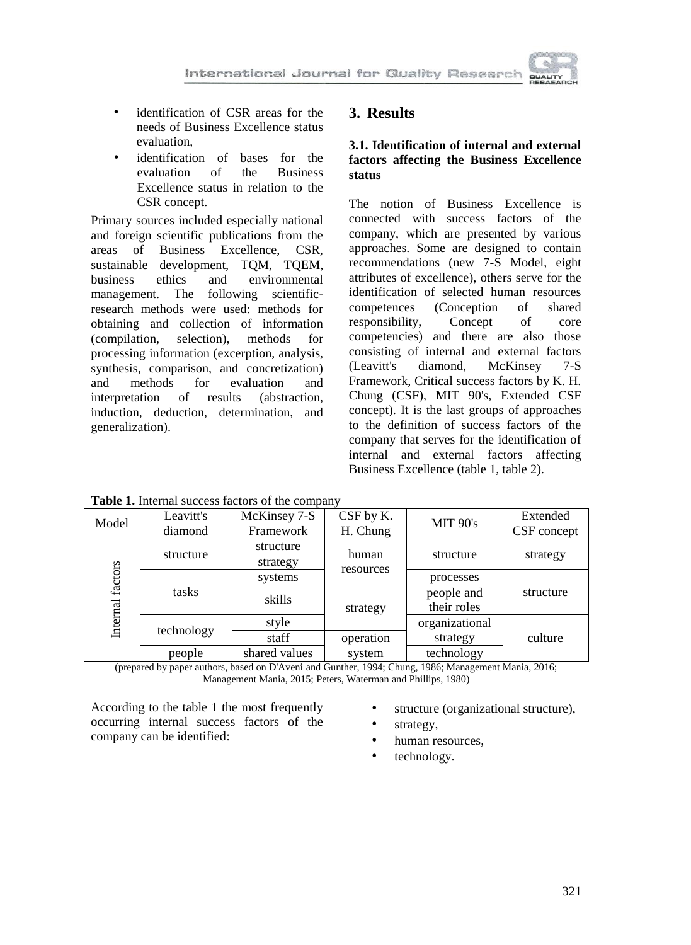

- identification of CSR areas for the needs of Business Excellence status evaluation,
- identification of bases for the<br>evaluation of the Business evaluation of the Business Excellence status in relation to the CSR concept.

Primary sources included especially national and foreign scientific publications from the areas of Business Excellence, CSR, sustainable development, TQM, TQEM, business ethics and environmental management. The following scientificresearch methods were used: methods for obtaining and collection of information (compilation, selection), methods for processing information (excerption, analysis, synthesis, comparison, and concretization) and methods for evaluation and interpretation of results (abstraction, induction, deduction, determination, and generalization).

### **3. Results**

### **3.1. Identification of internal and external factors affecting the Business Excellence status**

The notion of Business Excellence is connected with success factors of the company, which are presented by various approaches. Some are designed to contain recommendations (new 7-S Model, eight attributes of excellence), others serve for the identification of selected human resources competences (Conception of shared responsibility, Concept of core competencies) and there are also those consisting of internal and external factors (Leavitt's diamond, McKinsey 7-S Framework, Critical success factors by K. H. Chung (CSF), MIT 90's, Extended CSF concept). It is the last groups of approaches to the definition of success factors of the company that serves for the identification of internal and external factors affecting Business Excellence (table 1, table 2).

| <b>THOIC IT INTERNATIONAL PROCESS THE COLLEGITY</b> |                      |                           |                       |                           |                         |  |
|-----------------------------------------------------|----------------------|---------------------------|-----------------------|---------------------------|-------------------------|--|
| Model                                               | Leavitt's<br>diamond | McKinsey 7-S<br>Framework | CSF by K.<br>H. Chung | <b>MIT 90's</b>           | Extended<br>CSF concept |  |
| Internal factors                                    | structure            | structure<br>strategy     | structure<br>human    |                           | strategy                |  |
|                                                     | tasks                | systems                   | resources             | processes                 |                         |  |
|                                                     |                      | skills                    | strategy              | people and<br>their roles | structure               |  |
|                                                     | technology           | style                     |                       | organizational            |                         |  |
|                                                     |                      | staff                     | operation             | strategy                  | culture                 |  |
|                                                     | people               | shared values             | system                | technology                |                         |  |

**Table 1.** Internal success factors of the company

(prepared by paper authors, based on D'Aveni and Gunther, 1994; Chung, 1986; Management Mania, 2016; Management Mania, 2015; Peters, Waterman and Phillips, 1980)

According to the table 1 the most frequently occurring internal success factors of the company can be identified:

- structure (organizational structure),
- 
- strategy.
- human resources,
- technology.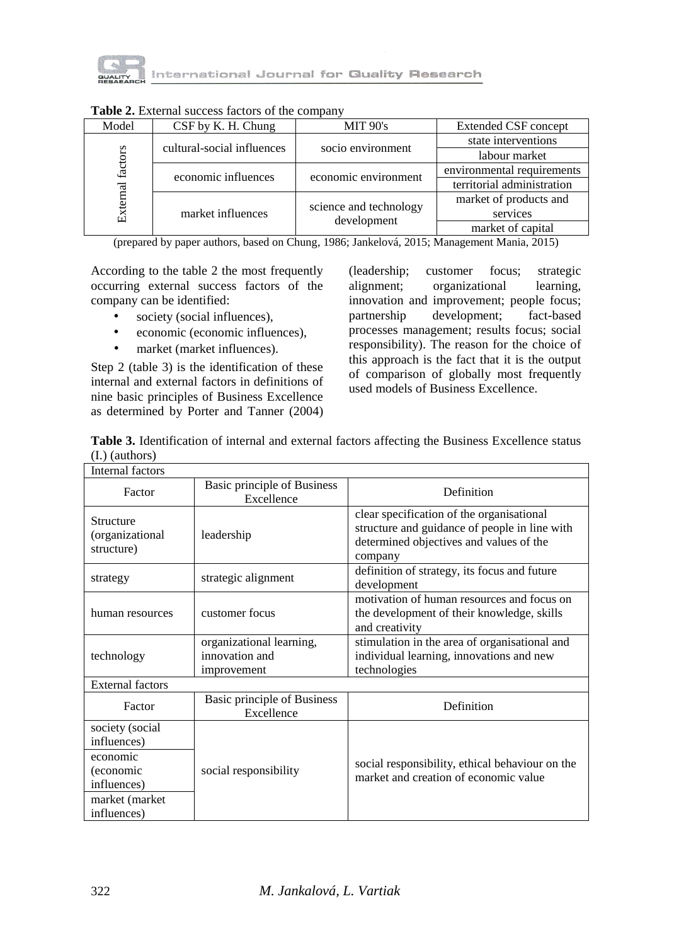

| Model               | CSF by K. H. Chung         | <b>MIT 90's</b>        | <b>Extended CSF concept</b> |  |
|---------------------|----------------------------|------------------------|-----------------------------|--|
| factors<br>External | cultural-social influences | socio environment      | state interventions         |  |
|                     |                            |                        | labour market               |  |
|                     | economic influences        | economic environment   | environmental requirements  |  |
|                     |                            |                        | territorial administration  |  |
|                     |                            |                        | market of products and      |  |
|                     | market influences          | science and technology | services                    |  |
|                     |                            | development            | market of capital           |  |

**Table 2.** External success factors of the company

(prepared by paper authors, based on Chung, 1986; Jankelová, 2015; Management Mania, 2015)

According to the table 2 the most frequently occurring external success factors of the company can be identified:

- society (social influences),
- economic (economic influences),
- market (market influences).

Step 2 (table 3) is the identification of these internal and external factors in definitions of nine basic principles of Business Excellence as determined by Porter and Tanner (2004)

(leadership; customer focus; strategic alignment; organizational learning, innovation and improvement; people focus; partnership development; fact-based processes management; results focus; social responsibility). The reason for the choice of this approach is the fact that it is the output of comparison of globally most frequently used models of Business Excellence.

| Table 3. Identification of internal and external factors affecting the Business Excellence status |  |
|---------------------------------------------------------------------------------------------------|--|
| $(I.)$ (authors)                                                                                  |  |

| <b>Internal factors</b>                                                                                 |                                                           |                                                                                                                                                  |  |  |  |
|---------------------------------------------------------------------------------------------------------|-----------------------------------------------------------|--------------------------------------------------------------------------------------------------------------------------------------------------|--|--|--|
| <b>Basic principle of Business</b><br>Factor<br>Excellence                                              |                                                           | Definition                                                                                                                                       |  |  |  |
| Structure<br>(organizational<br>structure)                                                              | leadership                                                | clear specification of the organisational<br>structure and guidance of people in line with<br>determined objectives and values of the<br>company |  |  |  |
| strategy                                                                                                | strategic alignment                                       | definition of strategy, its focus and future<br>development                                                                                      |  |  |  |
| human resources                                                                                         | customer focus                                            | motivation of human resources and focus on<br>the development of their knowledge, skills<br>and creativity                                       |  |  |  |
| technology                                                                                              | organizational learning,<br>innovation and<br>improvement | stimulation in the area of organisational and<br>individual learning, innovations and new<br>technologies                                        |  |  |  |
| <b>External factors</b>                                                                                 |                                                           |                                                                                                                                                  |  |  |  |
| Factor                                                                                                  | <b>Basic principle of Business</b><br>Excellence          | Definition                                                                                                                                       |  |  |  |
| society (social<br>influences)<br>economic<br>(economic<br>influences)<br>market (market<br>influences) | social responsibility                                     | social responsibility, ethical behaviour on the<br>market and creation of economic value                                                         |  |  |  |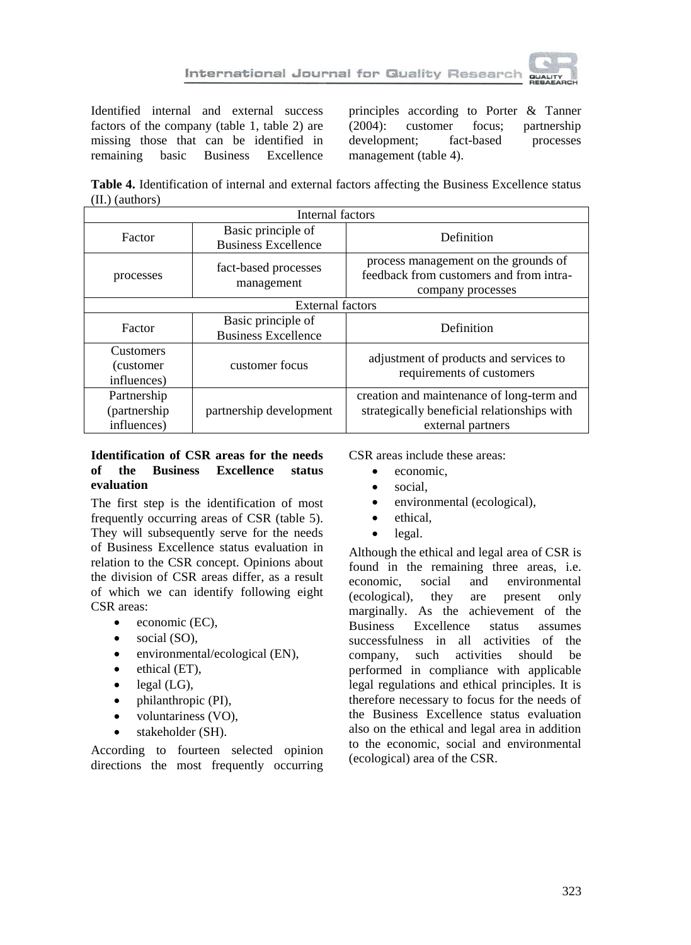

Identified internal and external success factors of the company (table 1, table 2) are missing those that can be identified in<br>remaining basic Business Excellence remaining basic Business Excellence

principles according to Porter & Tanner (2004): customer focus; partnership development; fact-based processes management (table 4).

**Table 4.** Identification of internal and external factors affecting the Business Excellence status (II.) (authors)

| Internal factors                              |                                                  |                                                                                                               |  |  |
|-----------------------------------------------|--------------------------------------------------|---------------------------------------------------------------------------------------------------------------|--|--|
| Factor                                        | Basic principle of<br><b>Business Excellence</b> | Definition                                                                                                    |  |  |
| processes                                     | fact-based processes<br>management               | process management on the grounds of<br>feedback from customers and from intra-<br>company processes          |  |  |
| External factors                              |                                                  |                                                                                                               |  |  |
| Factor                                        | Basic principle of<br><b>Business Excellence</b> | Definition                                                                                                    |  |  |
| <b>Customers</b><br>(customer)<br>influences) | customer focus                                   | adjustment of products and services to<br>requirements of customers                                           |  |  |
| Partnership<br>(partnership)<br>influences)   | partnership development                          | creation and maintenance of long-term and<br>strategically beneficial relationships with<br>external partners |  |  |

### **Identification of CSR areas for the needs of the Business Excellence status evaluation**

The first step is the identification of most frequently occurring areas of CSR (table 5). They will subsequently serve for the needs of Business Excellence status evaluation in relation to the CSR concept. Opinions about the division of CSR areas differ, as a result of which we can identify following eight CSR areas:

- $\bullet$  economic (EC),
- $\bullet$  social (SO),
- environmental/ecological (EN),
- $\bullet$  ethical (ET),
- $\bullet$  legal (LG),
- philanthropic (PI),
- voluntariness (VO),
- stakeholder (SH).

According to fourteen selected opinion directions the most frequently occurring CSR areas include these areas:

- economic.
- social.
- environmental (ecological),
- ethical.
- legal.

Although the ethical and legal area of CSR is found in the remaining three areas, i.e.<br>economic social and environmental economic, social and environmental (ecological), they are present only marginally. As the achievement of the<br>Business Excellence status assumes Excellence status assumes successfulness in all activities of the company, such activities should be performed in compliance with applicable legal regulations and ethical principles. It is therefore necessary to focus for the needs of the Business Excellence status evaluation also on the ethical and legal area in addition to the economic, social and environmental (ecological) area of the CSR.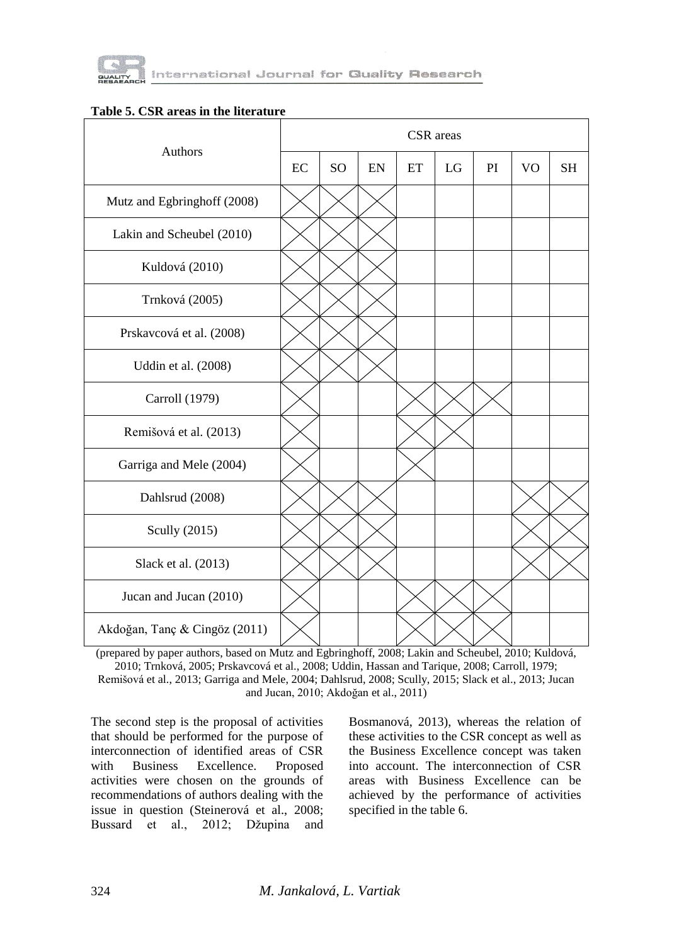

#### **Table 5. CSR areas in the literature**

| Authors                       |    | CSR areas |    |    |    |    |           |           |
|-------------------------------|----|-----------|----|----|----|----|-----------|-----------|
|                               | EC | <b>SO</b> | EN | ET | LG | PI | <b>VO</b> | <b>SH</b> |
| Mutz and Egbringhoff (2008)   |    |           |    |    |    |    |           |           |
| Lakin and Scheubel (2010)     |    |           |    |    |    |    |           |           |
| Kuldová (2010)                |    |           |    |    |    |    |           |           |
| Trnková (2005)                |    |           |    |    |    |    |           |           |
| Prskavcová et al. (2008)      |    |           |    |    |    |    |           |           |
| Uddin et al. (2008)           |    |           |    |    |    |    |           |           |
| Carroll (1979)                |    |           |    |    |    |    |           |           |
| Remišová et al. (2013)        |    |           |    |    |    |    |           |           |
| Garriga and Mele (2004)       |    |           |    |    |    |    |           |           |
| Dahlsrud (2008)               |    |           |    |    |    |    |           |           |
| Scully (2015)                 |    |           |    |    |    |    |           |           |
| Slack et al. (2013)           |    |           |    |    |    |    |           |           |
| Jucan and Jucan (2010)        |    |           |    |    |    |    |           |           |
| Akdoğan, Tanç & Cingöz (2011) |    |           |    |    |    |    |           |           |

(prepared by paper authors, based on Mutz and Egbringhoff, 2008; Lakin and Scheubel, 2010; Kuldová, 2010; Trnková, 2005; Prskavcová et al., 2008; Uddin, Hassan and Tarique, 2008; Carroll, 1979; Remišová et al., 2013; Garriga and Mele, 2004; Dahlsrud, 2008; Scully, 2015; Slack et al., 2013; Jucan and Jucan, 2010; Akdoğan et al., 2011)

The second step is the proposal of activities that should be performed for the purpose of interconnection of identified areas of CSR with Business Excellence. Proposed activities were chosen on the grounds of recommendations of authors dealing with the issue in question (Steinerová et al., 2008; Bussard et al., 2012; Džupina and

Bosmanová, 2013), whereas the relation of these activities to the CSR concept as well as the Business Excellence concept was taken into account. The interconnection of CSR areas with Business Excellence can be achieved by the performance of activities specified in the table 6.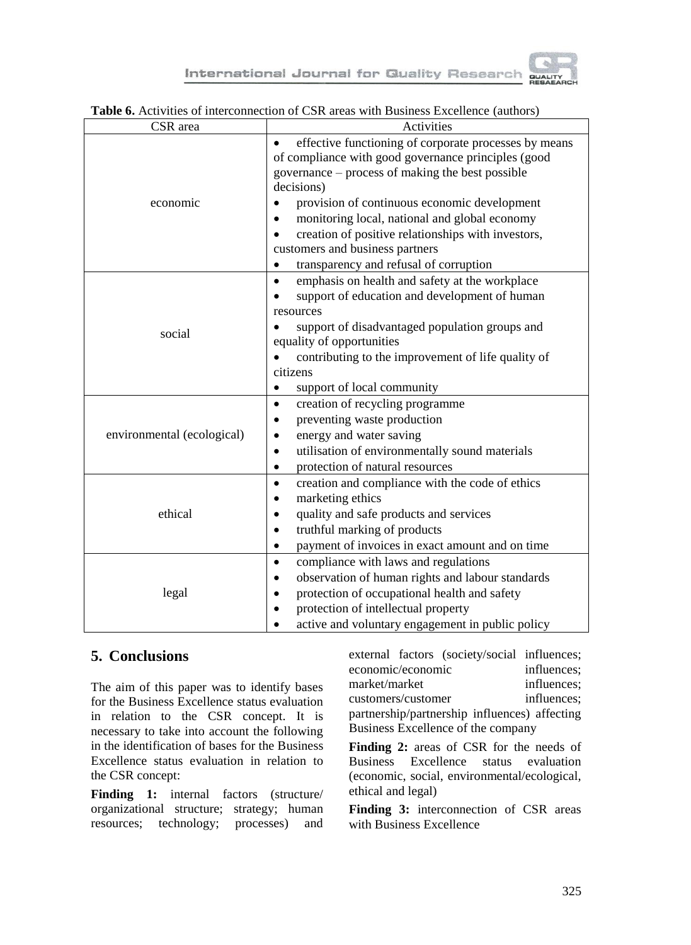

International Journal for Quality Research

|                            | of interconnection of Cort areas with Business Executive (authors)                                                                                                                                                                                                                                                                                                                                                                   |  |  |
|----------------------------|--------------------------------------------------------------------------------------------------------------------------------------------------------------------------------------------------------------------------------------------------------------------------------------------------------------------------------------------------------------------------------------------------------------------------------------|--|--|
| CSR area                   | Activities                                                                                                                                                                                                                                                                                                                                                                                                                           |  |  |
| economic                   | effective functioning of corporate processes by means<br>$\bullet$<br>of compliance with good governance principles (good<br>governance - process of making the best possible<br>decisions)<br>provision of continuous economic development<br>monitoring local, national and global economy<br>creation of positive relationships with investors,<br>customers and business partners<br>transparency and refusal of corruption<br>٠ |  |  |
| social                     | emphasis on health and safety at the workplace<br>$\bullet$<br>support of education and development of human<br>resources<br>support of disadvantaged population groups and<br>equality of opportunities<br>contributing to the improvement of life quality of<br>citizens<br>support of local community<br>$\bullet$                                                                                                                |  |  |
| environmental (ecological) | creation of recycling programme<br>$\bullet$<br>preventing waste production<br>energy and water saving<br>utilisation of environmentally sound materials<br>$\bullet$<br>protection of natural resources<br>$\bullet$                                                                                                                                                                                                                |  |  |
| ethical                    | creation and compliance with the code of ethics<br>$\bullet$<br>marketing ethics<br>$\bullet$<br>quality and safe products and services<br>٠<br>truthful marking of products<br>$\bullet$<br>payment of invoices in exact amount and on time<br>$\bullet$                                                                                                                                                                            |  |  |
| legal                      | compliance with laws and regulations<br>$\bullet$<br>observation of human rights and labour standards<br>protection of occupational health and safety<br>protection of intellectual property<br>active and voluntary engagement in public policy                                                                                                                                                                                     |  |  |

#### **Table 6.** Activities of interconnection of CSR areas with Business Excellence (authors)

## **5. Conclusions**

The aim of this paper was to identify bases for the Business Excellence status evaluation in relation to the CSR concept. It is necessary to take into account the following in the identification of bases for the Business Excellence status evaluation in relation to the CSR concept:

**Finding 1:** internal factors (structure/ organizational structure; strategy; human resources; technology; processes) and external factors (society/social influences; economic/economic influences; market/market influences; customers/customer influences; partnership/partnership influences) affecting Business Excellence of the company

Finding 2: areas of CSR for the needs of Business Excellence status evaluation (economic, social, environmental/ecological, ethical and legal)

**Finding 3:** interconnection of CSR areas with Business Excellence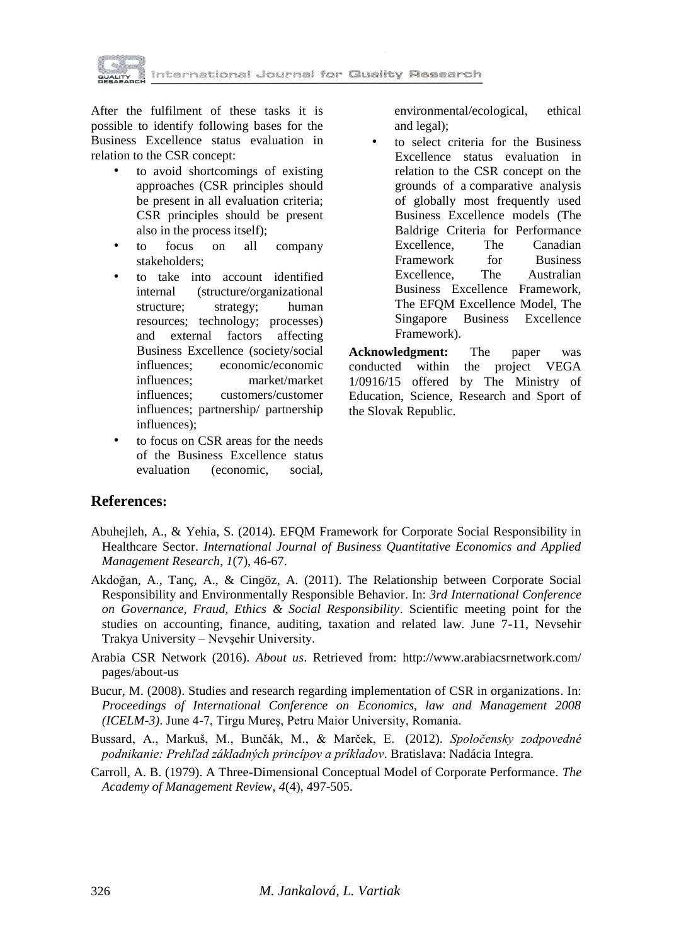

After the fulfilment of these tasks it is possible to identify following bases for the Business Excellence status evaluation in relation to the CSR concept:

- to avoid shortcomings of existing approaches (CSR principles should be present in all evaluation criteria; CSR principles should be present also in the process itself);
- to focus on all company stakeholders;
- to take into account identified internal (structure/organizational structure; strategy; human resources; technology; processes) and external factors affecting Business Excellence (society/social influences; economic/economic influences; market/market influences; customers/customer influences; partnership/ partnership influences);
- to focus on CSR areas for the needs of the Business Excellence status evaluation (economic, social,

environmental/ecological, ethical and legal);

to select criteria for the Business Excellence status evaluation in relation to the CSR concept on the grounds of a comparative analysis of globally most frequently used Business Excellence models (The Baldrige Criteria for Performance Excellence, The Canadian Framework for Business Excellence, The Australian Business Excellence Framework, The EFQM Excellence Model, The Singapore Business Excellence Framework).

**Acknowledgment:** The paper was conducted within the project VEGA 1/0916/15 offered by The Ministry of Education, Science, Research and Sport of the Slovak Republic.

### **References:**

- Abuhejleh, A., & Yehia, S. (2014). EFQM Framework for Corporate Social Responsibility in Healthcare Sector. *International Journal of Business Quantitative Economics and Applied Management Research*, *1*(7), 46-67.
- Akdoğan, A., Tanç, A., & Cingöz, A. (2011). The Relationship between Corporate Social Responsibility and Environmentally Responsible Behavior. In: *3rd International Conference on Governance, Fraud, Ethics & Social Responsibility*. Scientific meeting point for the studies on accounting, finance, auditing, taxation and related law. June 7-11, Nevsehir Trakya University – Nevşehir University.
- Arabia CSR Network (2016). *About us*. Retrieved from: http://www.arabiacsrnetwork.com/ pages/about-us
- Bucur, M. (2008). Studies and research regarding implementation of CSR in organizations. In: *Proceedings of International Conference on Economics, law and Management 2008 (ICELM-3)*. June 4-7, Tirgu Mureş, Petru Maior University, Romania.
- Bussard, A., Markuš, M., Bunčák, M., & Marček, E. (2012). *Spoločensky zodpovedné podnikanie: Prehľad základných princípov a príkladov*. Bratislava: Nadácia Integra.
- Carroll, A. B. (1979). A Three-Dimensional Conceptual Model of Corporate Performance. *The Academy of Management Review*, *4*(4), 497-505.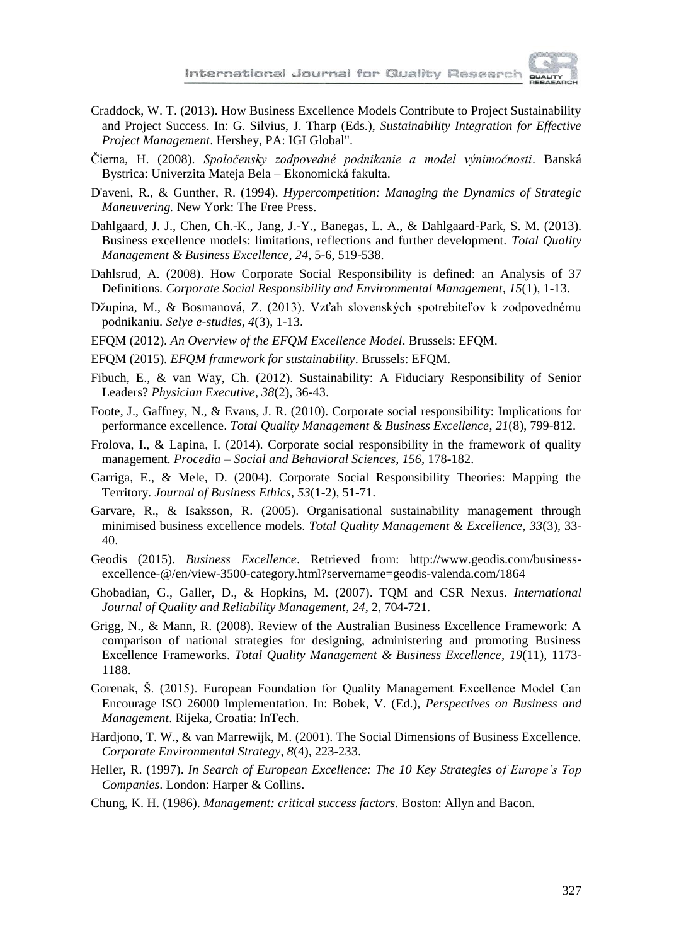

- Craddock, W. T. (2013). How Business Excellence Models Contribute to Project Sustainability and Project Success. In: G. Silvius, J. Tharp (Eds.), *Sustainability Integration for Effective Project Management*. Hershey, PA: IGI Global".
- Čierna, H. (2008). *Spoločensky zodpovedné podnikanie a model výnimočnosti*. Banská Bystrica: Univerzita Mateja Bela – Ekonomická fakulta.
- D'aveni, R., & Gunther, R. (1994). *Hypercompetition: Managing the Dynamics of Strategic Maneuvering.* New York: The Free Press.
- Dahlgaard, J. J., Chen, Ch.-K., Jang, J.-Y., Banegas, L. A., & Dahlgaard-Park, S. M. (2013). Business excellence models: limitations, reflections and further development. *Total Quality Management & Business Excellence*, *24*, 5-6, 519-538.
- Dahlsrud, A. (2008). How Corporate Social Responsibility is defined: an Analysis of 37 Definitions. *Corporate Social Responsibility and Environmental Management*, *15*(1), 1-13.
- Džupina, M., & Bosmanová, Z. (2013). Vzťah slovenských spotrebiteľov k zodpovednému podnikaniu. *Selye e-studies*, *4*(3), 1-13.
- EFQM (2012). *An Overview of the EFQM Excellence Model*. Brussels: EFQM.
- EFQM (2015). *EFQM framework for sustainability*. Brussels: EFQM.
- Fibuch, E., & van Way, Ch. (2012). Sustainability: A Fiduciary Responsibility of Senior Leaders? *Physician Executive*, *38*(2), 36-43.
- Foote, J., Gaffney, N., & Evans, J. R. (2010). Corporate social responsibility: Implications for performance excellence. *Total Quality Management & Business Excellence*, *21*(8), 799-812.
- Frolova, I., & Lapina, I. (2014). Corporate social responsibility in the framework of quality management. *Procedia – Social and Behavioral Sciences*, *156*, 178-182.
- Garriga, E., & Mele, D. (2004). Corporate Social Responsibility Theories: Mapping the Territory. *Journal of Business Ethics*, *53*(1-2), 51-71.
- Garvare, R., & Isaksson, R. (2005). Organisational sustainability management through minimised business excellence models. *Total Quality Management & Excellence*, *33*(3), 33- 40.
- Geodis (2015). *Business Excellence*. Retrieved from: http://www.geodis.com/businessexcellence-@/en/view-3500-category.html?servername=geodis-valenda.com/1864
- Ghobadian, G., Galler, D., & Hopkins, M. (2007). TQM and CSR Nexus. *International Journal of Quality and Reliability Management*, *24*, 2, 704-721.
- Grigg, N., & Mann, R. (2008). Review of the Australian Business Excellence Framework: A comparison of national strategies for designing, administering and promoting Business Excellence Frameworks. *Total Quality Management & Business Excellence*, *19*(11), 1173- 1188.
- Gorenak, Š. (2015). European Foundation for Quality Management Excellence Model Can Encourage ISO 26000 Implementation. In: Bobek, V. (Ed.), *Perspectives on Business and Management*. Rijeka, Croatia: InTech.
- Hardjono, T. W., & van Marrewijk, M. (2001). The Social Dimensions of Business Excellence. *Corporate Environmental Strategy*, *8*(4), 223-233.
- Heller, R. (1997). *In Search of European Excellence: The 10 Key Strategies of Europe's Top Companies*. London: Harper & Collins.
- Chung, K. H. (1986). *Management: critical success factors*. Boston: Allyn and Bacon.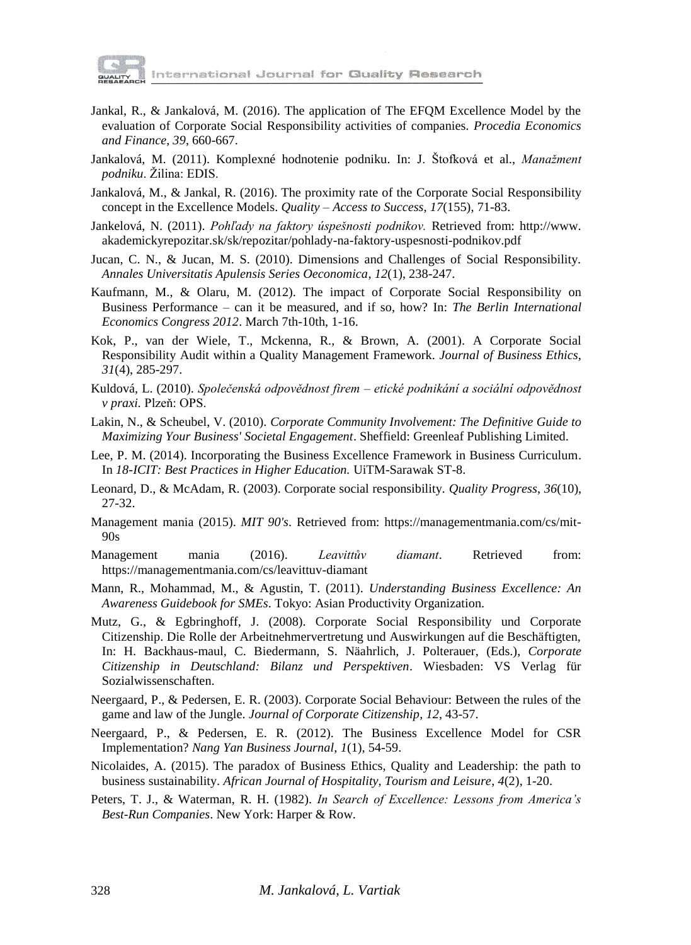

nternational Journal for Guality Research

- Jankal, R., & Jankalová, M. (2016). The application of The EFQM Excellence Model by the evaluation of Corporate Social Responsibility activities of companies. *Procedia Economics and Finance*, *39*, 660-667.
- Jankalová, M. (2011). Komplexné hodnotenie podniku. In: J. Štofková et al., *Manažment podniku*. Žilina: EDIS.
- Jankalová, M., & Jankal, R. (2016). The proximity rate of the Corporate Social Responsibility concept in the Excellence Models. *Quality – Access to Success*, *17*(155), 71-83.
- Jankelová, N. (2011). *Pohľady na faktory úspešnosti podnikov.* Retrieved from: http://www. akademickyrepozitar.sk/sk/repozitar/pohlady-na-faktory-uspesnosti-podnikov.pdf
- Jucan, C. N., & Jucan, M. S. (2010). Dimensions and Challenges of Social Responsibility. *Annales Universitatis Apulensis Series Oeconomica*, *12*(1), 238-247.
- Kaufmann, M., & Olaru, M. (2012). The impact of Corporate Social Responsibility on Business Performance – can it be measured, and if so, how? In: *The Berlin International Economics Congress 2012*. March 7th-10th, 1-16.
- Kok, P., van der Wiele, T., Mckenna, R., & Brown, A. (2001). A Corporate Social Responsibility Audit within a Quality Management Framework. *Journal of Business Ethics, 31*(4), 285-297.
- Kuldová, L. (2010). *Společenská odpovědnost firem – etické podnikání a sociální odpovědnost v praxi.* Plzeň: OPS.
- Lakin, N., & Scheubel, V. (2010). *Corporate Community Involvement: The Definitive Guide to Maximizing Your Business' Societal Engagement*. Sheffield: Greenleaf Publishing Limited.
- Lee, P. M. (2014). Incorporating the Business Excellence Framework in Business Curriculum. In *18-ICIT: Best Practices in Higher Education.* UiTM-Sarawak ST-8.
- Leonard, D., & McAdam, R. (2003). Corporate social responsibility. *Quality Progress*, *36*(10), 27-32.
- Management mania (2015). *MIT 90's*. Retrieved from: https://managementmania.com/cs/mit-90s
- Management mania (2016). *Leavittův diamant*. Retrieved from: https://managementmania.com/cs/leavittuv-diamant
- Mann, R., Mohammad, M., & Agustin, T. (2011). *Understanding Business Excellence: An Awareness Guidebook for SMEs*. Tokyo: Asian Productivity Organization.
- Mutz, G., & Egbringhoff, J. (2008). Corporate Social Responsibility und Corporate Citizenship. Die Rolle der Arbeitnehmervertretung und Auswirkungen auf die Beschäftigten, In: H. Backhaus-maul, C. Biedermann, S. Näahrlich, J. Polterauer, (Eds.), *Corporate Citizenship in Deutschland: Bilanz und Perspektiven*. Wiesbaden: VS Verlag für Sozialwissenschaften.
- Neergaard, P., & Pedersen, E. R. (2003). Corporate Social Behaviour: Between the rules of the game and law of the Jungle. *Journal of Corporate Citizenship*, *12*, 43-57.
- Neergaard, P., & Pedersen, E. R. (2012). The Business Excellence Model for CSR Implementation? *Nang Yan Business Journal*, *1*(1), 54-59.
- Nicolaides, A. (2015). The paradox of Business Ethics, Quality and Leadership: the path to business sustainability. *African Journal of Hospitality, Tourism and Leisure*, *4*(2), 1-20.
- Peters, T. J., & Waterman, R. H. (1982). *In Search of Excellence: Lessons from America's Best-Run Companies*. New York: Harper & Row.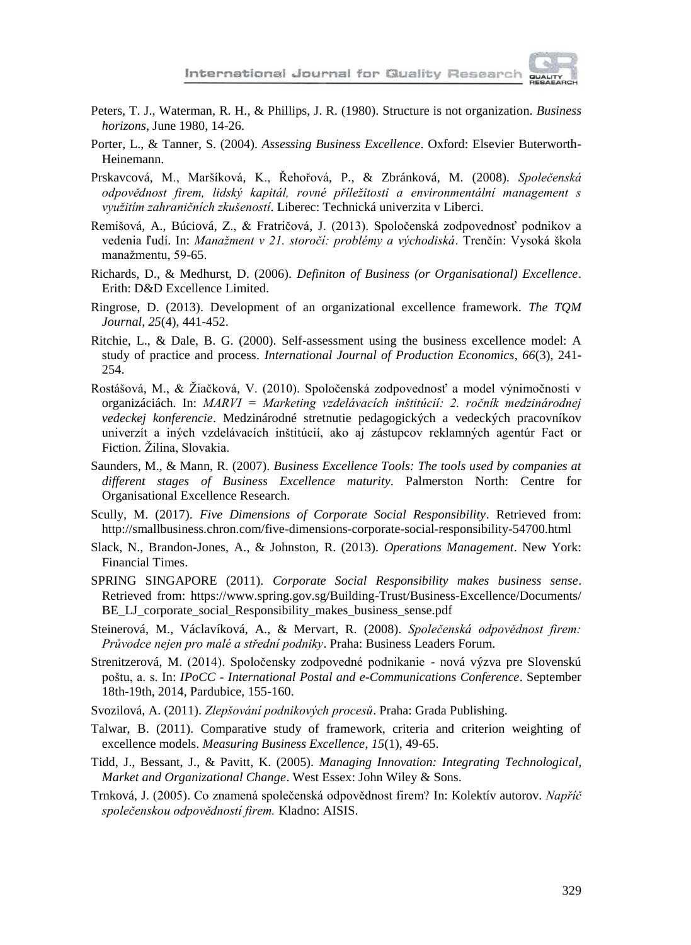

- Peters, T. J., Waterman, R. H., & Phillips, J. R. (1980). Structure is not organization. *Business horizons*, June 1980, 14-26.
- Porter, L., & Tanner, S. (2004). *Assessing Business Excellence*. Oxford: Elsevier Buterworth-Heinemann.
- Prskavcová, M., Maršíková, K., Řehořová, P., & Zbránková, M. (2008). *Společenská odpovědnost firem, lidský kapitál, rovné příležitosti a environmentální management s využitím zahraničních zkušeností*. Liberec: Technická univerzita v Liberci.
- Remišová, A., Búciová, Z., & Fratričová, J. (2013). Spoločenská zodpovednosť podnikov a vedenia ľudí. In: *Manažment v 21. storočí: problémy a východiská*. Trenčín: Vysoká škola manažmentu, 59-65.
- Richards, D., & Medhurst, D. (2006). *Definiton of Business (or Organisational) Excellence*. Erith: D&D Excellence Limited.
- Ringrose, D. (2013). Development of an organizational excellence framework. *The TQM Journal*, *25*(4), 441-452.
- Ritchie, L., & Dale, B. G. (2000). Self-assessment using the business excellence model: A study of practice and process. *International Journal of Production Economics*, *66*(3), 241- 254.
- Rostášová, M., & Žiačková, V. (2010). Spoločenská zodpovednosť a model výnimočnosti v organizáciách. In: *MARVI = Marketing vzdelávacích inštitúcií: 2. ročník medzinárodnej vedeckej konferencie*. Medzinárodné stretnutie pedagogických a vedeckých pracovníkov univerzít a iných vzdelávacích inštitúcií, ako aj zástupcov reklamných agentúr Fact or Fiction. Žilina, Slovakia.
- Saunders, M., & Mann, R. (2007). *Business Excellence Tools: The tools used by companies at different stages of Business Excellence maturity*. Palmerston North: Centre for Organisational Excellence Research.
- Scully, M. (2017). *Five Dimensions of Corporate Social Responsibility*. Retrieved from: http://smallbusiness.chron.com/five-dimensions-corporate-social-responsibility-54700.html
- Slack, N., Brandon-Jones, A., & Johnston, R. (2013). *Operations Management*. New York: Financial Times.
- SPRING SINGAPORE (2011). *Corporate Social Responsibility makes business sense*. Retrieved from: https://www.spring.gov.sg/Building-Trust/Business-Excellence/Documents/ BE\_LJ\_corporate\_social\_Responsibility\_makes\_business\_sense.pdf
- Steinerová, M., Václavíková, A., & Mervart, R. (2008). *Společenská odpovědnost firem: Průvodce nejen pro malé a střední podniky*. Praha: Business Leaders Forum.
- Strenitzerová, M. (2014). Spoločensky zodpovedné podnikanie nová výzva pre Slovenskú poštu, a. s. In: *IPoCC - International Postal and e-Communications Conference*. September 18th-19th, 2014, Pardubice, 155-160.
- Svozilová, A. (2011). *Zlepšování podnikových procesů*. Praha: Grada Publishing.
- Talwar, B. (2011). Comparative study of framework, criteria and criterion weighting of excellence models. *Measuring Business Excellence*, *15*(1), 49-65.
- Tidd, J., Bessant, J., & Pavitt, K. (2005). *Managing Innovation: Integrating Technological, Market and Organizational Change*. West Essex: John Wiley & Sons.
- Trnková, J. (2005). Co znamená společenská odpovědnost firem? In: Kolektív autorov. *Napříč společenskou odpovědností firem.* Kladno: AISIS.